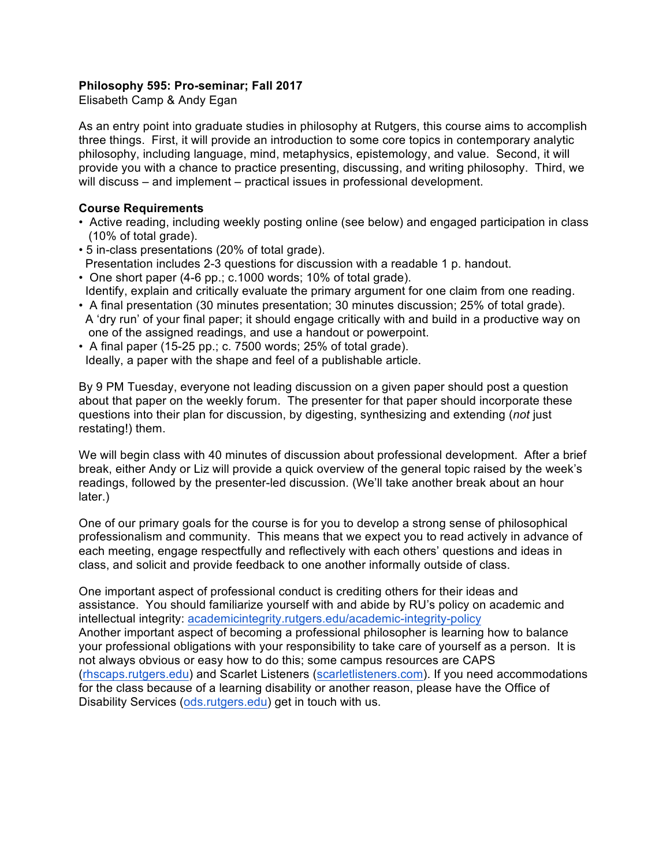## **Philosophy 595: Pro-seminar; Fall 2017**

Elisabeth Camp & Andy Egan

As an entry point into graduate studies in philosophy at Rutgers, this course aims to accomplish three things. First, it will provide an introduction to some core topics in contemporary analytic philosophy, including language, mind, metaphysics, epistemology, and value. Second, it will provide you with a chance to practice presenting, discussing, and writing philosophy. Third, we will discuss – and implement – practical issues in professional development.

## **Course Requirements**

- Active reading, including weekly posting online (see below) and engaged participation in class (10% of total grade).
- 5 in-class presentations (20% of total grade). Presentation includes 2-3 questions for discussion with a readable 1 p. handout.
- One short paper (4-6 pp.; c.1000 words; 10% of total grade). Identify, explain and critically evaluate the primary argument for one claim from one reading.
- A final presentation (30 minutes presentation; 30 minutes discussion; 25% of total grade). A 'dry run' of your final paper; it should engage critically with and build in a productive way on one of the assigned readings, and use a handout or powerpoint.
- A final paper (15-25 pp.; c. 7500 words; 25% of total grade). Ideally, a paper with the shape and feel of a publishable article.

By 9 PM Tuesday, everyone not leading discussion on a given paper should post a question about that paper on the weekly forum. The presenter for that paper should incorporate these questions into their plan for discussion, by digesting, synthesizing and extending (*not* just restating!) them.

We will begin class with 40 minutes of discussion about professional development. After a brief break, either Andy or Liz will provide a quick overview of the general topic raised by the week's readings, followed by the presenter-led discussion. (We'll take another break about an hour later.)

One of our primary goals for the course is for you to develop a strong sense of philosophical professionalism and community. This means that we expect you to read actively in advance of each meeting, engage respectfully and reflectively with each others' questions and ideas in class, and solicit and provide feedback to one another informally outside of class.

One important aspect of professional conduct is crediting others for their ideas and assistance. You should familiarize yourself with and abide by RU's policy on academic and intellectual integrity: academicintegrity.rutgers.edu/academic-integrity-policy Another important aspect of becoming a professional philosopher is learning how to balance your professional obligations with your responsibility to take care of yourself as a person. It is not always obvious or easy how to do this; some campus resources are CAPS (rhscaps.rutgers.edu) and Scarlet Listeners (scarletlisteners.com). If you need accommodations for the class because of a learning disability or another reason, please have the Office of Disability Services (ods.rutgers.edu) get in touch with us.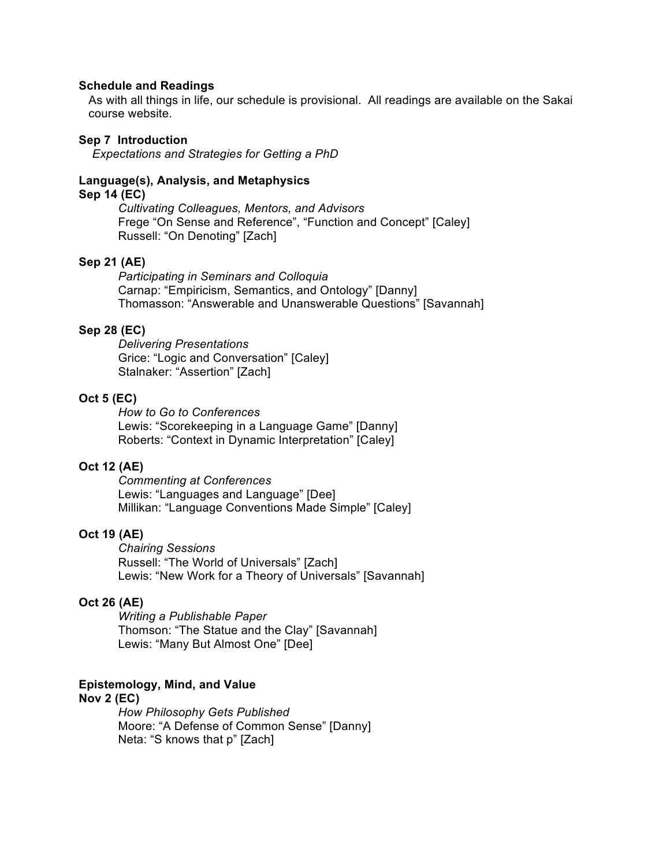#### **Schedule and Readings**

As with all things in life, our schedule is provisional. All readings are available on the Sakai course website.

### **Sep 7 Introduction**

*Expectations and Strategies for Getting a PhD* 

### **Language(s), Analysis, and Metaphysics**

## **Sep 14 (EC)**

*Cultivating Colleagues, Mentors, and Advisors* Frege "On Sense and Reference", "Function and Concept" [Caley] Russell: "On Denoting" [Zach]

### **Sep 21 (AE)**

*Participating in Seminars and Colloquia* Carnap: "Empiricism, Semantics, and Ontology" [Danny] Thomasson: "Answerable and Unanswerable Questions" [Savannah]

### **Sep 28 (EC)**

*Delivering Presentations* Grice: "Logic and Conversation" [Caley] Stalnaker: "Assertion" [Zach]

## **Oct 5 (EC)**

*How to Go to Conferences* Lewis: "Scorekeeping in a Language Game" [Danny] Roberts: "Context in Dynamic Interpretation" [Caley]

# **Oct 12 (AE)**

*Commenting at Conferences* Lewis: "Languages and Language" [Dee] Millikan: "Language Conventions Made Simple" [Caley]

#### **Oct 19 (AE)**

*Chairing Sessions* Russell: "The World of Universals" [Zach] Lewis: "New Work for a Theory of Universals" [Savannah]

## **Oct 26 (AE)**

*Writing a Publishable Paper* Thomson: "The Statue and the Clay" [Savannah] Lewis: "Many But Almost One" [Dee]

### **Epistemology, Mind, and Value**

## **Nov 2 (EC)**

*How Philosophy Gets Published* Moore: "A Defense of Common Sense" [Danny] Neta: "S knows that p" [Zach]